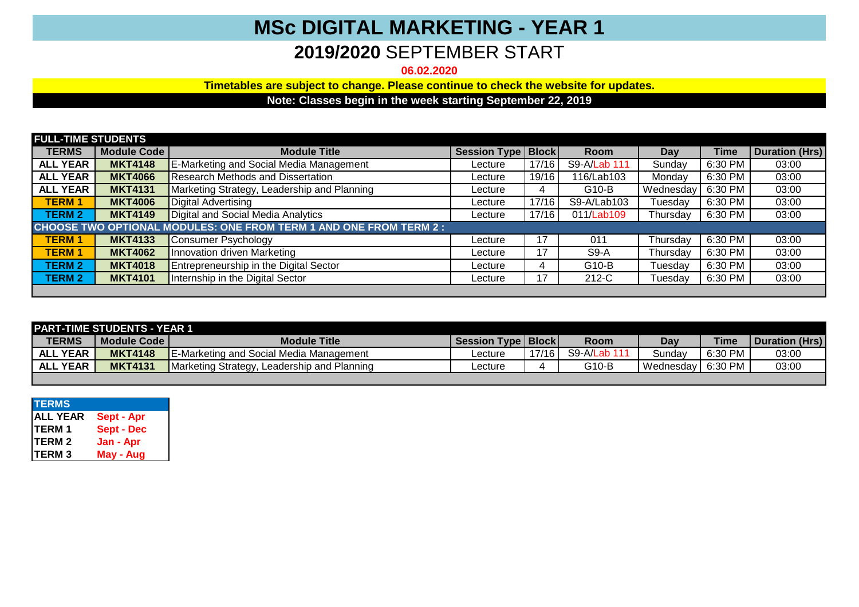## **MSc DIGITAL MARKETING - YEAR 1**

## **2019/2020** SEPTEMBER START

**06.02.2020**

**Timetables are subject to change. Please continue to check the website for updates.**

**Note: Classes begin in the week starting September 22, 2019**

| <b>FULL-TIME STUDENTS</b>                                                 |                    |                                             |                     |              |              |           |         |                       |
|---------------------------------------------------------------------------|--------------------|---------------------------------------------|---------------------|--------------|--------------|-----------|---------|-----------------------|
| <b>TERMS</b>                                                              | <b>Module Code</b> | <b>Module Title</b>                         | <b>Session Type</b> | <b>Block</b> | Room         | Dav       | Time    | <b>Duration (Hrs)</b> |
| <b>ALL YEAR</b>                                                           | <b>MKT4148</b>     | E-Marketing and Social Media Management     | Lecture             | 17/16        | S9-A/Lab 111 | Sunday    | 6:30 PM | 03:00                 |
| <b>ALL YEAR</b>                                                           | <b>MKT4066</b>     | Research Methods and Dissertation           | Lecture             | 19/16        | 116/Lab103   | Monday    | 6:30 PM | 03:00                 |
| <b>ALL YEAR</b>                                                           | <b>MKT4131</b>     | Marketing Strategy, Leadership and Planning | Lecture             | 4            | G10-B        | Wednesday | 6:30 PM | 03:00                 |
| <b>TERM1</b>                                                              | <b>MKT4006</b>     | <b>Digital Advertising</b>                  | Lecture             | 17/16        | S9-A/Lab103  | Tuesdav   | 6:30 PM | 03:00                 |
| <b>TERM 2</b>                                                             | <b>MKT4149</b>     | Digital and Social Media Analytics          | Lecture             | 17/16        | 011/Lab109   | Thursday  | 6:30 PM | 03:00                 |
| <b>CHOOSE TWO OPTIONAL MODULES: ONE FROM TERM 1 AND ONE FROM TERM 2 :</b> |                    |                                             |                     |              |              |           |         |                       |
| <b>TERM1</b>                                                              | <b>MKT4133</b>     | Consumer Psychology                         | Lecture             | 17           | 011          | Thursday  | 6:30 PM | 03:00                 |
| <b>TERM1</b>                                                              | <b>MKT4062</b>     | Innovation driven Marketing                 | Lecture             | 17           | S9-A         | Thursday  | 6:30 PM | 03:00                 |
| <b>TERM 2</b>                                                             | <b>MKT4018</b>     | Entrepreneurship in the Digital Sector      | Lecture             | 4            | G10-B        | Tuesday   | 6:30 PM | 03:00                 |
| <b>TERM 2</b>                                                             | <b>MKT4101</b>     | Internship in the Digital Sector            | Lecture             | 17           | 212-C        | Tuesday   | 6:30 PM | 03:00                 |

| <b>PART-TIME STUDENTS - YEAR 1</b> |                      |                                                     |                               |       |                  |                   |             |                |
|------------------------------------|----------------------|-----------------------------------------------------|-------------------------------|-------|------------------|-------------------|-------------|----------------|
| <b>TERMS</b>                       | <b>Module Code I</b> | <b>Module Title</b>                                 | <b>Session Type   Block  </b> |       | Room             | Day               | <b>Time</b> | Duration (Hrs) |
| <b>ALL YEAR</b>                    | <b>MKT4148</b>       | E-Marketing and Social Media Management             | ∟ecture                       | 17/16 | $S9-A/L$<br>Lab. | Sundav            | 6:30 PM     | 03:00          |
| <b>ALL YEAR</b>                    | <b>MKT4131</b>       | <b>IMarketing Strategy, Leadership and Planning</b> | ∟ecture                       |       | G10-B            | Wednesday 6:30 PM |             | 03:00          |
|                                    |                      |                                                     |                               |       |                  |                   |             |                |

| <b>TERMS</b>      |                   |
|-------------------|-------------------|
| <b>ALL YEAR</b>   | <b>Sept - Apr</b> |
| TERM 1            | <b>Sept - Dec</b> |
| TERM <sub>2</sub> | Jan - Apr         |
| TERM <sub>3</sub> | May - Aug         |